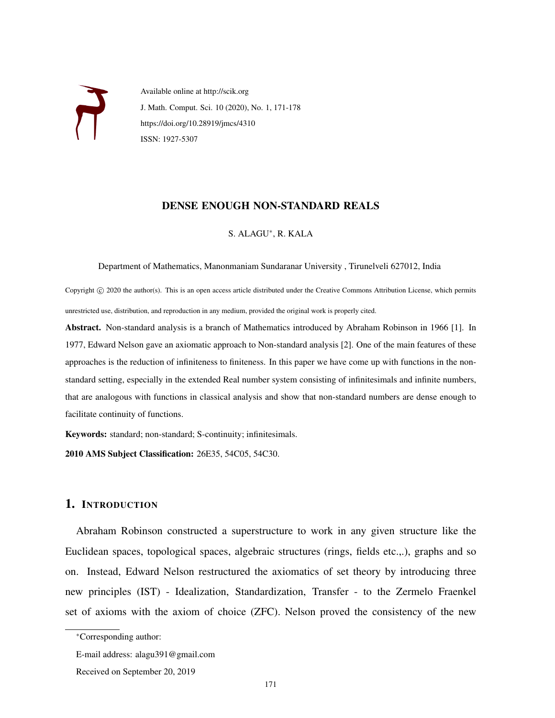

Available online at http://scik.org J. Math. Comput. Sci. 10 (2020), No. 1, 171-178 https://doi.org/10.28919/jmcs/4310 ISSN: 1927-5307

### DENSE ENOUGH NON-STANDARD REALS

S. ALAGU<sup>∗</sup> , R. KALA

Department of Mathematics, Manonmaniam Sundaranar University , Tirunelveli 627012, India

Copyright © 2020 the author(s). This is an open access article distributed under the Creative Commons Attribution License, which permits unrestricted use, distribution, and reproduction in any medium, provided the original work is properly cited.

Abstract. Non-standard analysis is a branch of Mathematics introduced by Abraham Robinson in 1966 [1]. In 1977, Edward Nelson gave an axiomatic approach to Non-standard analysis [2]. One of the main features of these approaches is the reduction of infiniteness to finiteness. In this paper we have come up with functions in the nonstandard setting, especially in the extended Real number system consisting of infinitesimals and infinite numbers, that are analogous with functions in classical analysis and show that non-standard numbers are dense enough to facilitate continuity of functions.

Keywords: standard; non-standard; S-continuity; infinitesimals.

2010 AMS Subject Classification: 26E35, 54C05, 54C30.

# 1. INTRODUCTION

Abraham Robinson constructed a superstructure to work in any given structure like the Euclidean spaces, topological spaces, algebraic structures (rings, fields etc.,.), graphs and so on. Instead, Edward Nelson restructured the axiomatics of set theory by introducing three new principles (IST) - Idealization, Standardization, Transfer - to the Zermelo Fraenkel set of axioms with the axiom of choice (ZFC). Nelson proved the consistency of the new

<sup>∗</sup>Corresponding author:

E-mail address: alagu391@gmail.com

Received on September 20, 2019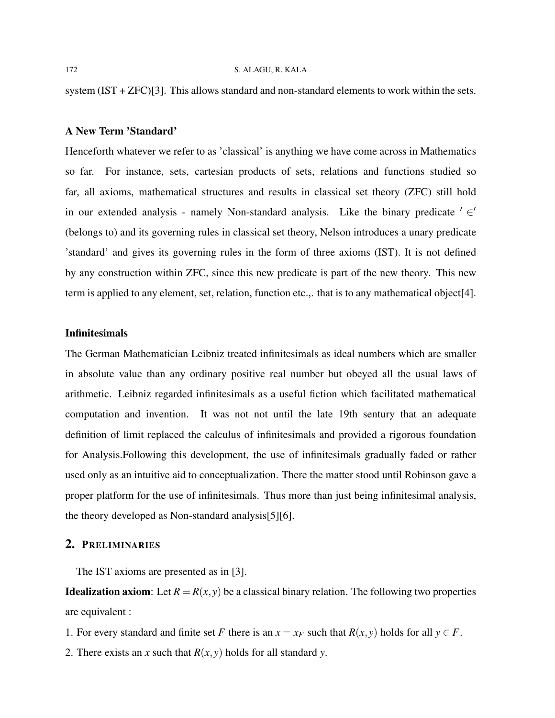system (IST + ZFC)[3]. This allows standard and non-standard elements to work within the sets.

### A New Term 'Standard'

Henceforth whatever we refer to as 'classical' is anything we have come across in Mathematics so far. For instance, sets, cartesian products of sets, relations and functions studied so far, all axioms, mathematical structures and results in classical set theory (ZFC) still hold in our extended analysis - namely Non-standard analysis. Like the binary predicate  $' \in'$ (belongs to) and its governing rules in classical set theory, Nelson introduces a unary predicate 'standard' and gives its governing rules in the form of three axioms (IST). It is not defined by any construction within ZFC, since this new predicate is part of the new theory. This new term is applied to any element, set, relation, function etc.,. that is to any mathematical object[4].

# **Infinitesimals**

The German Mathematician Leibniz treated infinitesimals as ideal numbers which are smaller in absolute value than any ordinary positive real number but obeyed all the usual laws of arithmetic. Leibniz regarded infinitesimals as a useful fiction which facilitated mathematical computation and invention. It was not not until the late 19th sentury that an adequate definition of limit replaced the calculus of infinitesimals and provided a rigorous foundation for Analysis.Following this development, the use of infinitesimals gradually faded or rather used only as an intuitive aid to conceptualization. There the matter stood until Robinson gave a proper platform for the use of infinitesimals. Thus more than just being infinitesimal analysis, the theory developed as Non-standard analysis[5][6].

# 2. PRELIMINARIES

The IST axioms are presented as in [3].

**Idealization axiom:** Let  $R = R(x, y)$  be a classical binary relation. The following two properties are equivalent :

- 1. For every standard and finite set *F* there is an  $x = x_F$  such that  $R(x, y)$  holds for all  $y \in F$ .
- 2. There exists an *x* such that  $R(x, y)$  holds for all standard *y*.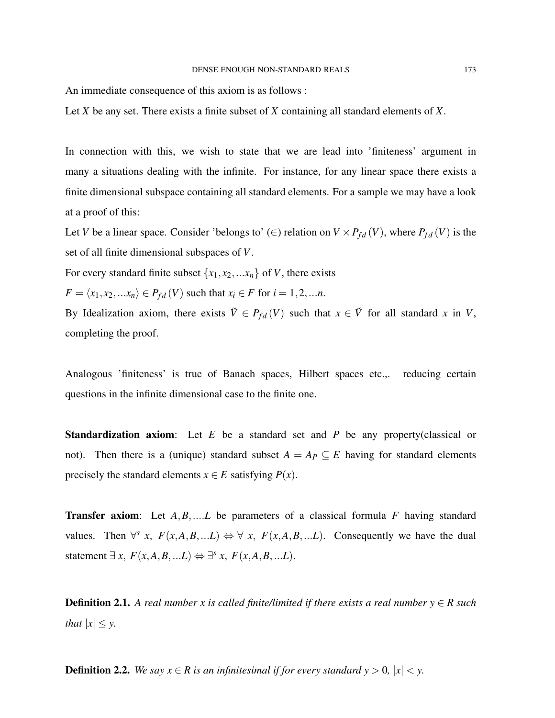An immediate consequence of this axiom is as follows :

Let *X* be any set. There exists a finite subset of *X* containing all standard elements of *X*.

In connection with this, we wish to state that we are lead into 'finiteness' argument in many a situations dealing with the infinite. For instance, for any linear space there exists a finite dimensional subspace containing all standard elements. For a sample we may have a look at a proof of this:

Let *V* be a linear space. Consider 'belongs to' (∈) relation on  $V \times P_{fd}(V)$ , where  $P_{fd}(V)$  is the set of all finite dimensional subspaces of *V*.

For every standard finite subset  $\{x_1, x_2, \ldots, x_n\}$  of *V*, there exists

 $F = \langle x_1, x_2, ... x_n \rangle \in P_{fd}(V)$  such that  $x_i \in F$  for  $i = 1, 2, ... n$ .

By Idealization axiom, there exists  $\tilde{V} \in P_{fd}(V)$  such that  $x \in \tilde{V}$  for all standard *x* in *V*, completing the proof.

Analogous 'finiteness' is true of Banach spaces, Hilbert spaces etc.,. reducing certain questions in the infinite dimensional case to the finite one.

Standardization axiom: Let *E* be a standard set and *P* be any property(classical or not). Then there is a (unique) standard subset  $A = A_P \subseteq E$  having for standard elements precisely the standard elements  $x \in E$  satisfying  $P(x)$ .

Transfer axiom: Let *A*,*B*,....*L* be parameters of a classical formula *F* having standard values. Then  $\forall^s$  *x*,  $F(x,A,B,...L) \Leftrightarrow \forall x, F(x,A,B,...L)$ . Consequently we have the dual statement  $\exists x, F(x, A, B, \ldots L) \Leftrightarrow \exists^{s} x, F(x, A, B, \ldots L).$ 

**Definition 2.1.** A real number x is called finite/limited if there exists a real number  $y \in R$  such *that*  $|x| \leq y$ .

**Definition 2.2.** *We say*  $x \in R$  *is an infinitesimal if for every standard y* > 0*,*  $|x| < y$ *.*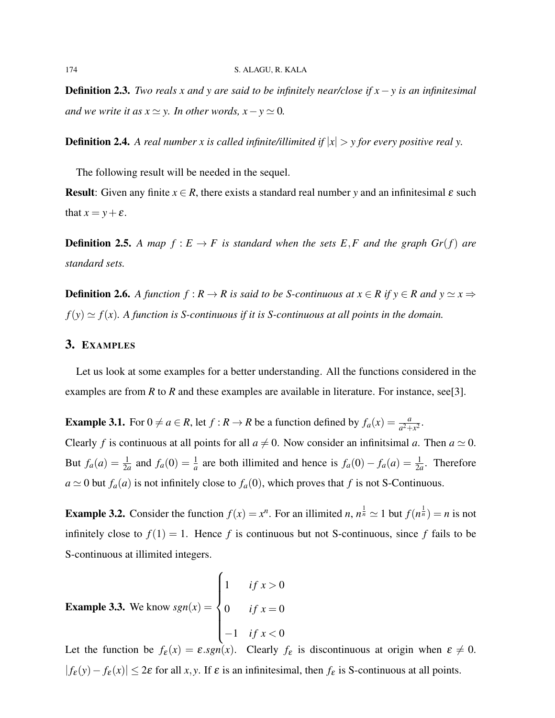Definition 2.3. *Two reals x and y are said to be infinitely near/close if x*−*y is an infinitesimal and we write it as*  $x \approx y$ *. In other words,*  $x - y \approx 0$ *.* 

**Definition 2.4.** A real number x is called infinite/illimited if  $|x| > y$  for every positive real y.

The following result will be needed in the sequel.

**Result:** Given any finite  $x \in R$ , there exists a standard real number y and an infinitesimal  $\varepsilon$  such that  $x = y + \varepsilon$ .

**Definition 2.5.** A map  $f : E \to F$  is standard when the sets E,F and the graph  $Gr(f)$  are *standard sets.*

**Definition 2.6.** A function  $f : R \to R$  is said to be S-continuous at  $x \in R$  if  $y \in R$  and  $y \simeq x \Rightarrow$  $f(y) \simeq f(x)$ . A function is S-continuous if it is S-continuous at all points in the domain.

### 3. EXAMPLES

Let us look at some examples for a better understanding. All the functions considered in the examples are from *R* to *R* and these examples are available in literature. For instance, see[3].

**Example 3.1.** For  $0 \neq a \in R$ , let  $f : R \to R$  be a function defined by  $f_a(x) = \frac{a}{a^2 + x^2}$ .

Clearly *f* is continuous at all points for all  $a \neq 0$ . Now consider an infinitsimal *a*. Then  $a \simeq 0$ . But  $f_a(a) = \frac{1}{2a}$  and  $f_a(0) = \frac{1}{a}$  are both illimited and hence is  $f_a(0) - f_a(a) = \frac{1}{2a}$ . Therefore  $a \simeq 0$  but  $f_a(a)$  is not infinitely close to  $f_a(0)$ , which proves that *f* is not S-Continuous.

**Example 3.2.** Consider the function  $f(x) = x^n$ . For an illimited *n*,  $n^{\frac{1}{n}} \approx 1$  but  $f(n^{\frac{1}{n}}) = n$  is not infinitely close to  $f(1) = 1$ . Hence f is continuous but not S-continuous, since f fails to be S-continuous at illimited integers.

**Example 3.3.** We know 
$$
sgn(x) = \begin{cases} 1 & \text{if } x > 0 \\ 0 & \text{if } x = 0 \\ -1 & \text{if } x < 0 \end{cases}
$$

Let the function be  $f_{\varepsilon}(x) = \varepsilon \cdot sgn(x)$ . Clearly  $f_{\varepsilon}$  is discontinuous at origin when  $\varepsilon \neq 0$ .  $| f_{\varepsilon}(y) - f_{\varepsilon}(x) |$  ≤ 2 $\varepsilon$  for all *x*, *y*. If  $\varepsilon$  is an infinitesimal, then  $f_{\varepsilon}$  is S-continuous at all points.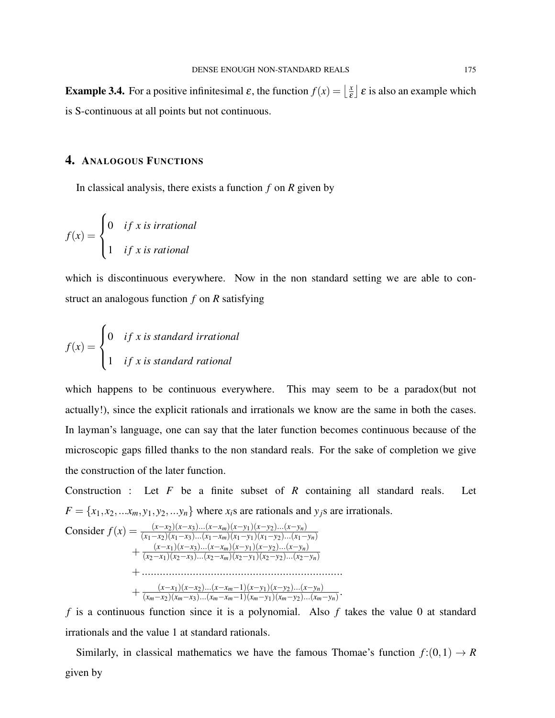**Example 3.4.** For a positive infinitesimal  $\varepsilon$ , the function  $f(x) = \frac{x}{\varepsilon}$  $\left[\frac{x}{\varepsilon}\right]$   $\varepsilon$  is also an example which is S-continuous at all points but not continuous.

# 4. ANALOGOUS FUNCTIONS

In classical analysis, there exists a function *f* on *R* given by

$$
f(x) = \begin{cases} 0 & if x is irrational \\ 1 & if x is rational \end{cases}
$$

which is discontinuous everywhere. Now in the non standard setting we are able to construct an analogous function *f* on *R* satisfying

$$
f(x) = \begin{cases} 0 & if x is standard irrational \\ 1 & if x is standard rational \end{cases}
$$

which happens to be continuous everywhere. This may seem to be a paradox(but not actually!), since the explicit rationals and irrationals we know are the same in both the cases. In layman's language, one can say that the later function becomes continuous because of the microscopic gaps filled thanks to the non standard reals. For the sake of completion we give the construction of the later function.

Construction : Let *F* be a finite subset of *R* containing all standard reals. Let  $F = \{x_1, x_2, \ldots, x_m, y_1, y_2, \ldots, y_n\}$  where  $x_i$ s are rationals and  $y_j$ s are irrationals.

Consider 
$$
f(x) = \frac{(x-x_2)(x-x_3)...(x-x_m)(x-y_1)(x-y_2)...(x-y_n)}{(x_1-x_2)(x_1-x_3)...(x_1-x_m)(x_1-y_1)(x_1-y_2)...(x_1-y_n)} + \frac{(x-x_1)(x-x_3)...(x-x_m)(x-y_1)(x-y_2)...(x-y_n)}{(x_2-x_1)(x_2-x_3)...(x_2-x_m)(x_2-y_1)(x_2-y_2)...(x_2-y_n)} + \dots + \dots + \frac{(x-x_1)(x-x_2)...(x-x_m-1)(x-y_1)(x-y_2)...(x-y_n)}{(x_m-x_2)(x_m-x_3)...(x_m-x_m-1)(x_m-y_1)(x_m-y_2)...(x_m-y_n)}.
$$

*f* is a continuous function since it is a polynomial. Also *f* takes the value 0 at standard irrationals and the value 1 at standard rationals.

.

Similarly, in classical mathematics we have the famous Thomae's function  $f:(0,1) \rightarrow R$ given by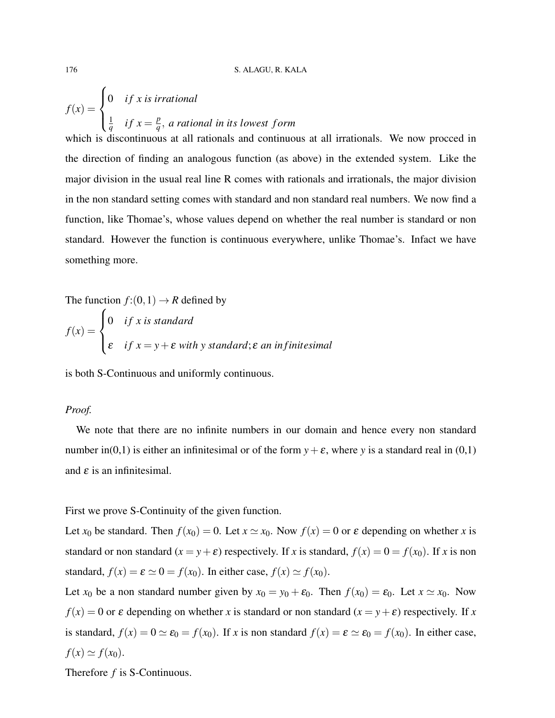$$
f(x) = \begin{cases} 0 & \text{if } x \text{ is irrational} \\ \frac{1}{q} & \text{if } x = \frac{p}{q}, \text{ a rational in its lowest form} \end{cases}
$$

which is discontinuous at all rationals and continuous at all irrationals. We now procced in the direction of finding an analogous function (as above) in the extended system. Like the major division in the usual real line R comes with rationals and irrationals, the major division in the non standard setting comes with standard and non standard real numbers. We now find a function, like Thomae's, whose values depend on whether the real number is standard or non standard. However the function is continuous everywhere, unlike Thomae's. Infact we have something more.

The function 
$$
f:(0,1) \to R
$$
 defined by  
\n
$$
f(x) = \begin{cases} 0 & \text{if } x \text{ is standard} \\ \varepsilon & \text{if } x = y + \varepsilon \text{ with } y \text{ standard; } \varepsilon \text{ an infinitesimal} \end{cases}
$$

is both S-Continuous and uniformly continuous.

### *Proof.*

We note that there are no infinite numbers in our domain and hence every non standard number in(0,1) is either an infinitesimal or of the form  $y + \varepsilon$ , where *y* is a standard real in (0,1) and  $\varepsilon$  is an infinitesimal.

#### First we prove S-Continuity of the given function.

Let  $x_0$  be standard. Then  $f(x_0) = 0$ . Let  $x \approx x_0$ . Now  $f(x) = 0$  or  $\varepsilon$  depending on whether *x* is standard or non standard  $(x = y + \varepsilon)$  respectively. If *x* is standard,  $f(x) = 0 = f(x_0)$ . If *x* is non standard,  $f(x) = \varepsilon \approx 0 = f(x_0)$ . In either case,  $f(x) \approx f(x_0)$ .

Let  $x_0$  be a non standard number given by  $x_0 = y_0 + \varepsilon_0$ . Then  $f(x_0) = \varepsilon_0$ . Let  $x \simeq x_0$ . Now  $f(x) = 0$  or  $\varepsilon$  depending on whether *x* is standard or non standard  $(x = y + \varepsilon)$  respectively. If *x* is standard,  $f(x) = 0 \approx \varepsilon_0 = f(x_0)$ . If *x* is non standard  $f(x) = \varepsilon \approx \varepsilon_0 = f(x_0)$ . In either case,  $f(x) \simeq f(x_0)$ .

Therefore *f* is S-Continuous.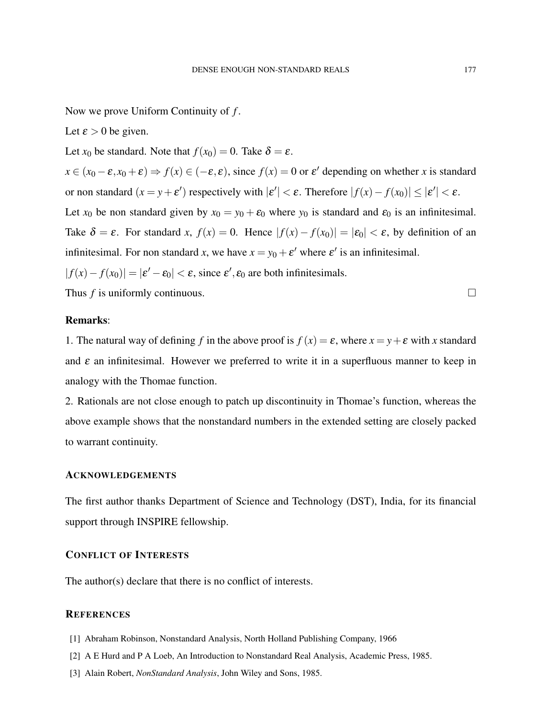Now we prove Uniform Continuity of *f* .

Let  $\epsilon > 0$  be given.

Let  $x_0$  be standard. Note that  $f(x_0) = 0$ . Take  $\delta = \varepsilon$ .

 $x \in (x_0 - \varepsilon, x_0 + \varepsilon) \Rightarrow f(x) \in (-\varepsilon, \varepsilon)$ , since  $f(x) = 0$  or  $\varepsilon'$  depending on whether *x* is standard or non standard  $(x = y + \varepsilon')$  respectively with  $|\varepsilon'| < \varepsilon$ . Therefore  $|f(x) - f(x_0)| \le |\varepsilon'| < \varepsilon$ .

Let  $x_0$  be non standard given by  $x_0 = y_0 + \varepsilon_0$  where  $y_0$  is standard and  $\varepsilon_0$  is an infinitesimal. Take  $\delta = \varepsilon$ . For standard *x*,  $f(x) = 0$ . Hence  $|f(x) - f(x_0)| = |\varepsilon_0| < \varepsilon$ , by definition of an infinitesimal. For non standard *x*, we have  $x = y_0 + \varepsilon'$  where  $\varepsilon'$  is an infinitesimal.

 $|f(x) - f(x_0)| = |\varepsilon' - \varepsilon_0| < \varepsilon$ , since  $\varepsilon', \varepsilon_0$  are both infinitesimals.

Thus  $f$  is uniformly continuous.  $\Box$ 

## Remarks:

1. The natural way of defining *f* in the above proof is  $f(x) = \varepsilon$ , where  $x = y + \varepsilon$  with *x* standard and  $\varepsilon$  an infinitesimal. However we preferred to write it in a superfluous manner to keep in analogy with the Thomae function.

2. Rationals are not close enough to patch up discontinuity in Thomae's function, whereas the above example shows that the nonstandard numbers in the extended setting are closely packed to warrant continuity.

### ACKNOWLEDGEMENTS

The first author thanks Department of Science and Technology (DST), India, for its financial support through INSPIRE fellowship.

# CONFLICT OF INTERESTS

The author(s) declare that there is no conflict of interests.

#### **REFERENCES**

- [1] Abraham Robinson, Nonstandard Analysis, North Holland Publishing Company, 1966
- [2] A E Hurd and P A Loeb, An Introduction to Nonstandard Real Analysis, Academic Press, 1985.
- [3] Alain Robert, *NonStandard Analysis*, John Wiley and Sons, 1985.